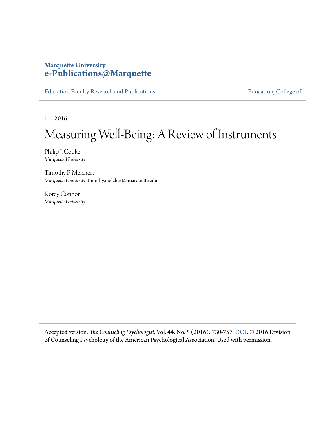### **Marquette University [e-Publications@Marquette](http://epublications.marquette.edu)**

[Education Faculty Research and Publications](http://epublications.marquette.edu/edu_fac) **Education** [Education, College of](http://epublications.marquette.edu/education)

1-1-2016

# Measuring Well-Being: A Review of Instruments

Philip J. Cooke *Marquette University*

Timothy P. Melchert *Marquette University*, timothy.melchert@marquette.edu

Korey Connor *Marquette University*

Accepted version. *The Counseling Psychologist,* Vol. 44, No. 5 (2016): 730-757. [DOI.](http://dx.doi.org/10.1177/0011000016633507) © 2016 Division of Counseling Psychology of the American Psychological Association. Used with permission.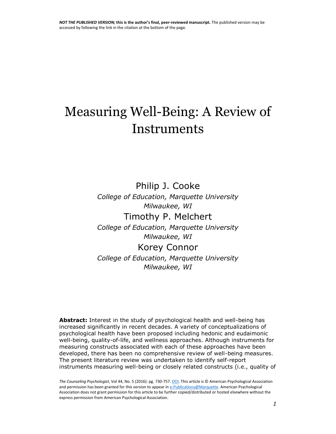# Measuring Well-Being: A Review of Instruments

Philip J. Cooke *College of Education, Marquette University Milwaukee, WI* Timothy P. Melchert *College of Education, Marquette University Milwaukee, WI*

Korey Connor *College of Education, Marquette University Milwaukee, WI*

**Abstract:** Interest in the study of psychological health and well-being has increased significantly in recent decades. A variety of conceptualizations of psychological health have been proposed including hedonic and eudaimonic well-being, quality-of-life, and wellness approaches. Although instruments for measuring constructs associated with each of these approaches have been developed, there has been no comprehensive review of well-being measures. The present literature review was undertaken to identify self-report instruments measuring well-being or closely related constructs (i.e., quality of

*The Counseling Psychologist*, Vol 44, No. 5 (2016): pg. 730-757[. DOI.](https://dx.doi.org/10.1177/0011000016633507) This article is © American Psychological Association and permission has been granted for this version to appear i[n e-Publications@Marquette.](http://epublications.marquette.edu/) American Psychological Association does not grant permission for this article to be further copied/distributed or hosted elsewhere without the express permission from American Psychological Association.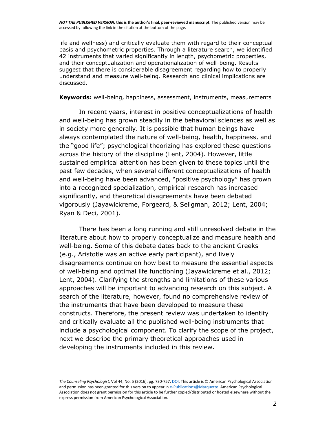life and wellness) and critically evaluate them with regard to their conceptual basis and psychometric properties. Through a literature search, we identified 42 instruments that varied significantly in length, psychometric properties, and their conceptualization and operationalization of well-being. Results suggest that there is considerable disagreement regarding how to properly understand and measure well-being. Research and clinical implications are discussed.

**Keywords:** [well-being,](http://journals.sagepub.com/keyword/Well-being) [happiness,](http://journals.sagepub.com/keyword/Happiness) [assessment,](http://journals.sagepub.com/keyword/Assessment) [instruments,](http://journals.sagepub.com/keyword/Instruments) [measurements](http://journals.sagepub.com/keyword/Measurements)

In recent years, interest in positive conceptualizations of health and well-being has grown steadily in the behavioral sciences as well as in society more generally. It is possible that human beings have always contemplated the nature of well-being, health, happiness, and the "good life"; psychological theorizing has explored these questions across the history of the discipline [\(Lent, 2004\)](http://journals.sagepub.com/doi/full/10.1177/0011000016633507). However, little sustained empirical attention has been given to these topics until the past few decades, when several different conceptualizations of health and well-being have been advanced, "positive psychology" has grown into a recognized specialization, empirical research has increased significantly, and theoretical disagreements have been debated vigorously [\(Jayawickreme, Forgeard, & Seligman, 2012; Lent, 2004;](http://journals.sagepub.com/doi/full/10.1177/0011000016633507) [Ryan & Deci, 2001\)](http://journals.sagepub.com/doi/full/10.1177/0011000016633507).

There has been a long running and still unresolved debate in the literature about how to properly conceptualize and measure health and well-being. Some of this debate dates back to the ancient Greeks (e.g., Aristotle was an active early participant), and lively disagreements continue on how best to measure the essential aspects of well-being and optimal life functioning [\(Jayawickreme et al., 2012;](http://journals.sagepub.com/doi/full/10.1177/0011000016633507) [Lent, 2004\)](http://journals.sagepub.com/doi/full/10.1177/0011000016633507). Clarifying the strengths and limitations of these various approaches will be important to advancing research on this subject. A search of the literature, however, found no comprehensive review of the instruments that have been developed to measure these constructs. Therefore, the present review was undertaken to identify and critically evaluate all the published well-being instruments that include a psychological component. To clarify the scope of the project, next we describe the primary theoretical approaches used in developing the instruments included in this review.

*The Counseling Psychologist*, Vol 44, No. 5 (2016): pg. 730-757[. DOI.](https://dx.doi.org/10.1177/0011000016633507) This article is © American Psychological Association and permission has been granted for this version to appear i[n e-Publications@Marquette.](http://epublications.marquette.edu/) American Psychological Association does not grant permission for this article to be further copied/distributed or hosted elsewhere without the express permission from American Psychological Association.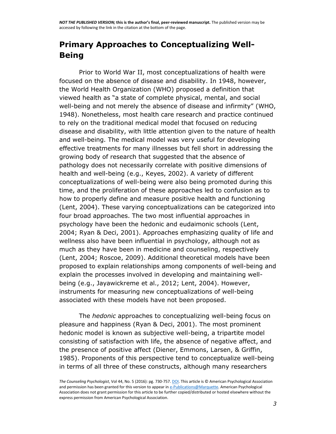## **Primary Approaches to Conceptualizing Well-Being**

Prior to World War II, most conceptualizations of health were focused on the absence of disease and disability. In 1948, however, the World Health Organization (WHO) proposed a definition that viewed health as "a state of complete physical, mental, and social well-being and not merely the absence of disease and infirmity" ([WHO,](http://journals.sagepub.com/doi/full/10.1177/0011000016633507)  [1948\)](http://journals.sagepub.com/doi/full/10.1177/0011000016633507). Nonetheless, most health care research and practice continued to rely on the traditional medical model that focused on reducing disease and disability, with little attention given to the nature of health and well-being. The medical model was very useful for developing effective treatments for many illnesses but fell short in addressing the growing body of research that suggested that the absence of pathology does not necessarily correlate with positive dimensions of health and well-being (e.g., [Keyes, 2002\)](http://journals.sagepub.com/doi/full/10.1177/0011000016633507). A variety of different conceptualizations of well-being were also being promoted during this time, and the proliferation of these approaches led to confusion as to how to properly define and measure positive health and functioning [\(Lent, 2004\)](http://journals.sagepub.com/doi/full/10.1177/0011000016633507). These varying conceptualizations can be categorized into four broad approaches. The two most influential approaches in psychology have been the hedonic and eudaimonic schools [\(Lent,](http://journals.sagepub.com/doi/full/10.1177/0011000016633507)  [2004; Ryan & Deci, 2001\)](http://journals.sagepub.com/doi/full/10.1177/0011000016633507). Approaches emphasizing quality of life and wellness also have been influential in psychology, although not as much as they have been in medicine and counseling, respectively [\(Lent, 2004; Roscoe, 2009\)](http://journals.sagepub.com/doi/full/10.1177/0011000016633507). Additional theoretical models have been proposed to explain relationships among components of well-being and explain the processes involved in developing and maintaining wellbeing (e.g., [Jayawickreme et al., 2012; Lent, 2004\)](http://journals.sagepub.com/doi/full/10.1177/0011000016633507). However, instruments for measuring new conceptualizations of well-being associated with these models have not been proposed.

The *hedonic* approaches to conceptualizing well-being focus on pleasure and happiness [\(Ryan & Deci, 2001\)](http://journals.sagepub.com/doi/full/10.1177/0011000016633507). The most prominent hedonic model is known as subjective well-being, a tripartite model consisting of satisfaction with life, the absence of negative affect, and the presence of positive affect [\(Diener, Emmons, Larsen, & Griffin,](http://journals.sagepub.com/doi/full/10.1177/0011000016633507)  [1985\)](http://journals.sagepub.com/doi/full/10.1177/0011000016633507). Proponents of this perspective tend to conceptualize well-being in terms of all three of these constructs, although many researchers

*The Counseling Psychologist*, Vol 44, No. 5 (2016): pg. 730-757[. DOI.](https://dx.doi.org/10.1177/0011000016633507) This article is © American Psychological Association and permission has been granted for this version to appear i[n e-Publications@Marquette.](http://epublications.marquette.edu/) American Psychological Association does not grant permission for this article to be further copied/distributed or hosted elsewhere without the express permission from American Psychological Association.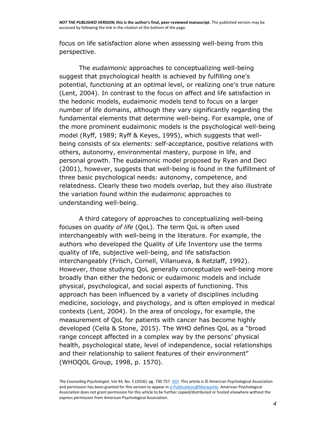focus on life satisfaction alone when assessing well-being from this perspective.

The *eudaimonic* approaches to conceptualizing well-being suggest that psychological health is achieved by fulfilling one's potential, functioning at an optimal level, or realizing one's true nature [\(Lent, 2004\)](http://journals.sagepub.com/doi/full/10.1177/0011000016633507). In contrast to the focus on affect and life satisfaction in the hedonic models, eudaimonic models tend to focus on a larger number of life domains, although they vary significantly regarding the fundamental elements that determine well-being. For example, one of the more prominent eudaimonic models is the psychological well-being model [\(Ryff, 1989; Ryff & Keyes, 1995\)](http://journals.sagepub.com/doi/full/10.1177/0011000016633507), which suggests that wellbeing consists of six elements: self-acceptance, positive relations with others, autonomy, environmental mastery, purpose in life, and personal growth. The eudaimonic model proposed by [Ryan and Deci](http://journals.sagepub.com/doi/full/10.1177/0011000016633507)  [\(2001\),](http://journals.sagepub.com/doi/full/10.1177/0011000016633507) however, suggests that well-being is found in the fulfillment of three basic psychological needs: autonomy, competence, and relatedness. Clearly these two models overlap, but they also illustrate the variation found within the eudaimonic approaches to understanding well-being.

A third category of approaches to conceptualizing well-being focuses on *quality of life* (QoL). The term QoL is often used interchangeably with well-being in the literature. For example, the authors who developed the Quality of Life Inventory use the terms quality of life, subjective well-being, and life satisfaction interchangeably [\(Frisch, Cornell, Villanueva, & Retzlaff, 1992\)](http://journals.sagepub.com/doi/full/10.1177/0011000016633507). However, those studying QoL generally conceptualize well-being more broadly than either the hedonic or eudaimonic models and include physical, psychological, and social aspects of functioning. This approach has been influenced by a variety of disciplines including medicine, sociology, and psychology, and is often employed in medical contexts [\(Lent, 2004\)](http://journals.sagepub.com/doi/full/10.1177/0011000016633507). In the area of oncology, for example, the measurement of QoL for patients with cancer has become highly developed [\(Cella & Stone, 2015](http://journals.sagepub.com/doi/full/10.1177/0011000016633507)). The WHO defines QoL as a "broad range concept affected in a complex way by the persons' physical health, psychological state, level of independence, social relationships and their relationship to salient features of their environment" [\(WHOQOL Group, 1998,](http://journals.sagepub.com/doi/full/10.1177/0011000016633507) p. 1570).

*The Counseling Psychologist*, Vol 44, No. 5 (2016): pg. 730-757[. DOI.](https://dx.doi.org/10.1177/0011000016633507) This article is © American Psychological Association and permission has been granted for this version to appear i[n e-Publications@Marquette.](http://epublications.marquette.edu/) American Psychological Association does not grant permission for this article to be further copied/distributed or hosted elsewhere without the express permission from American Psychological Association.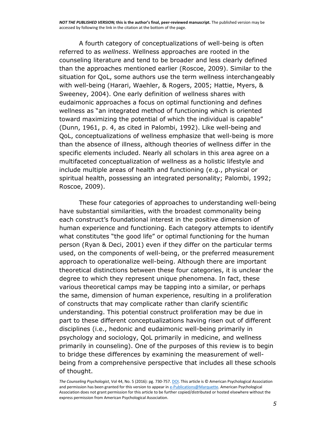A fourth category of conceptualizations of well-being is often referred to as *wellness*. Wellness approaches are rooted in the counseling literature and tend to be broader and less clearly defined than the approaches mentioned earlier [\(Roscoe, 2009\)](http://journals.sagepub.com/doi/full/10.1177/0011000016633507). Similar to the situation for QoL, some authors use the term wellness interchangeably with well-being [\(Harari, Waehler, & Rogers, 2005; Hattie, Myers, &](http://journals.sagepub.com/doi/full/10.1177/0011000016633507)  [Sweeney, 2004\)](http://journals.sagepub.com/doi/full/10.1177/0011000016633507). One early definition of wellness shares with eudaimonic approaches a focus on optimal functioning and defines wellness as "an integrated method of functioning which is oriented toward maximizing the potential of which the individual is capable" (Dunn, 1961, p. 4, as cited in [Palombi, 1992\)](http://journals.sagepub.com/doi/full/10.1177/0011000016633507). Like well-being and QoL, conceptualizations of wellness emphasize that well-being is more than the absence of illness, although theories of wellness differ in the specific elements included. Nearly all scholars in this area agree on a multifaceted conceptualization of wellness as a holistic lifestyle and include multiple areas of health and functioning (e.g., physical or spiritual health, possessing an integrated personality; [Palombi, 1992;](http://journals.sagepub.com/doi/full/10.1177/0011000016633507) [Roscoe, 2009\)](http://journals.sagepub.com/doi/full/10.1177/0011000016633507).

These four categories of approaches to understanding well-being have substantial similarities, with the broadest commonality being each construct's foundational interest in the positive dimension of human experience and functioning. Each category attempts to identify what constitutes "the good life" or optimal functioning for the human person [\(Ryan & Deci, 2001\)](http://journals.sagepub.com/doi/full/10.1177/0011000016633507) even if they differ on the particular terms used, on the components of well-being, or the preferred measurement approach to operationalize well-being. Although there are important theoretical distinctions between these four categories, it is unclear the degree to which they represent unique phenomena. In fact, these various theoretical camps may be tapping into a similar, or perhaps the same, dimension of human experience, resulting in a proliferation of constructs that may complicate rather than clarify scientific understanding. This potential construct proliferation may be due in part to these different conceptualizations having risen out of different disciplines (i.e., hedonic and eudaimonic well-being primarily in psychology and sociology, QoL primarily in medicine, and wellness primarily in counseling). One of the purposes of this review is to begin to bridge these differences by examining the measurement of wellbeing from a comprehensive perspective that includes all these schools of thought.

*The Counseling Psychologist*, Vol 44, No. 5 (2016): pg. 730-757[. DOI.](https://dx.doi.org/10.1177/0011000016633507) This article is © American Psychological Association and permission has been granted for this version to appear i[n e-Publications@Marquette.](http://epublications.marquette.edu/) American Psychological Association does not grant permission for this article to be further copied/distributed or hosted elsewhere without the express permission from American Psychological Association.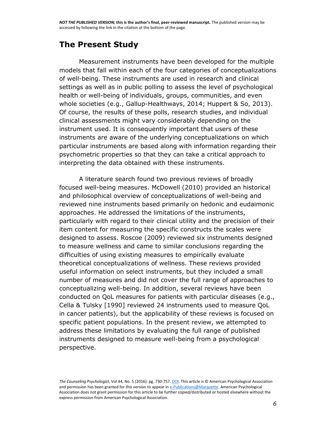## **The Present Study**

Measurement instruments have been developed for the multiple models that fall within each of the four categories of conceptualizations of well-being. These instruments are used in research and clinical settings as well as in public polling to assess the level of psychological health or well-being of individuals, groups, communities, and even whole societies (e.g., [Gallup-Healthways, 2014; Huppert & So, 2013\)](http://journals.sagepub.com/doi/full/10.1177/0011000016633507). Of course, the results of these polls, research studies, and individual clinical assessments might vary considerably depending on the instrument used. It is consequently important that users of these instruments are aware of the underlying conceptualizations on which particular instruments are based along with information regarding their psychometric properties so that they can take a critical approach to interpreting the data obtained with these instruments.

A literature search found two previous reviews of broadly focused well-being measures. [McDowell \(2010\)](http://journals.sagepub.com/doi/full/10.1177/0011000016633507) provided an historical and philosophical overview of conceptualizations of well-being and reviewed nine instruments based primarily on hedonic and eudaimonic approaches. He addressed the limitations of the instruments, particularly with regard to their clinical utility and the precision of their item content for measuring the specific constructs the scales were designed to assess. [Roscoe \(2009\)](http://journals.sagepub.com/doi/full/10.1177/0011000016633507) reviewed six instruments designed to measure wellness and came to similar conclusions regarding the difficulties of using existing measures to empirically evaluate theoretical conceptualizations of wellness. These reviews provided useful information on select instruments, but they included a small number of measures and did not cover the full range of approaches to conceptualizing well-being. In addition, several reviews have been conducted on QoL measures for patients with particular diseases (e.g., [Cella & Tulsky \[1990\]](http://journals.sagepub.com/doi/full/10.1177/0011000016633507) reviewed 24 instruments used to measure QoL in cancer patients), but the applicability of these reviews is focused on specific patient populations. In the present review, we attempted to address these limitations by evaluating the full range of published instruments designed to measure well-being from a psychological perspective.

*The Counseling Psychologist*, Vol 44, No. 5 (2016): pg. 730-757[. DOI.](https://dx.doi.org/10.1177/0011000016633507) This article is © American Psychological Association and permission has been granted for this version to appear i[n e-Publications@Marquette.](http://epublications.marquette.edu/) American Psychological Association does not grant permission for this article to be further copied/distributed or hosted elsewhere without the express permission from American Psychological Association.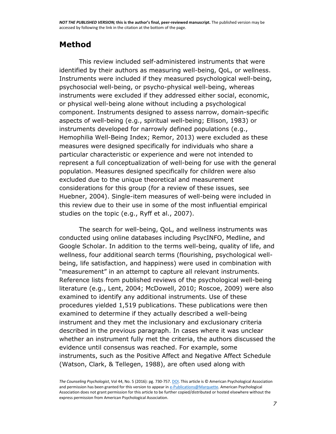## **Method**

This review included self-administered instruments that were identified by their authors as measuring well-being, QoL, or wellness. Instruments were included if they measured psychological well-being, psychosocial well-being, or psycho-physical well-being, whereas instruments were excluded if they addressed either social, economic, or physical well-being alone without including a psychological component. Instruments designed to assess narrow, domain-specific aspects of well-being (e.g., spiritual well-being; [Ellison, 1983\)](http://journals.sagepub.com/doi/full/10.1177/0011000016633507) or instruments developed for narrowly defined populations (e.g., Hemophilia Well-Being Index; [Remor, 2013\)](http://journals.sagepub.com/doi/full/10.1177/0011000016633507) were excluded as these measures were designed specifically for individuals who share a particular characteristic or experience and were not intended to represent a full conceptualization of well-being for use with the general population. Measures designed specifically for children were also excluded due to the unique theoretical and measurement considerations for this group (for a review of these issues, see [Huebner, 2004\)](http://journals.sagepub.com/doi/full/10.1177/0011000016633507). Single-item measures of well-being were included in this review due to their use in some of the most influential empirical studies on the topic (e.g., [Ryff et al., 2007\)](http://journals.sagepub.com/doi/full/10.1177/0011000016633507).

The search for well-being, QoL, and wellness instruments was conducted using online databases including PsycINFO, Medline, and Google Scholar. In addition to the terms well-being, quality of life, and wellness, four additional search terms (flourishing, psychological wellbeing, life satisfaction, and happiness) were used in combination with "measurement" in an attempt to capture all relevant instruments. Reference lists from published reviews of the psychological well-being literature (e.g., [Lent, 2004; McDowell, 2010; Roscoe, 2009\)](http://journals.sagepub.com/doi/full/10.1177/0011000016633507) were also examined to identify any additional instruments. Use of these procedures yielded 1,519 publications. These publications were then examined to determine if they actually described a well-being instrument and they met the inclusionary and exclusionary criteria described in the previous paragraph. In cases where it was unclear whether an instrument fully met the criteria, the authors discussed the evidence until consensus was reached. For example, some instruments, such as the Positive Affect and Negative Affect Schedule [\(Watson, Clark, & Tellegen, 1988\)](http://journals.sagepub.com/doi/full/10.1177/0011000016633507), are often used along with

*The Counseling Psychologist*, Vol 44, No. 5 (2016): pg. 730-757[. DOI.](https://dx.doi.org/10.1177/0011000016633507) This article is © American Psychological Association and permission has been granted for this version to appear i[n e-Publications@Marquette.](http://epublications.marquette.edu/) American Psychological Association does not grant permission for this article to be further copied/distributed or hosted elsewhere without the express permission from American Psychological Association.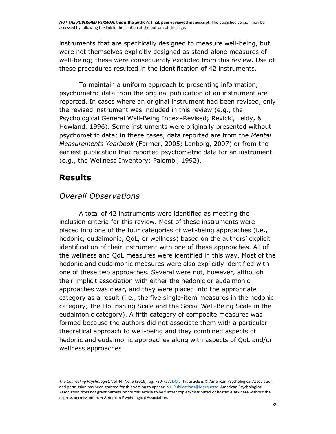instruments that are specifically designed to measure well-being, but were not themselves explicitly designed as stand-alone measures of well-being; these were consequently excluded from this review. Use of these procedures resulted in the identification of 42 instruments.

To maintain a uniform approach to presenting information, psychometric data from the original publication of an instrument are reported. In cases where an original instrument had been revised, only the revised instrument was included in this review (e.g., the Psychological General Well-Being Index–Revised; [Revicki, Leidy, &](http://journals.sagepub.com/doi/full/10.1177/0011000016633507)  [Howland, 1996\)](http://journals.sagepub.com/doi/full/10.1177/0011000016633507). Some instruments were originally presented without psychometric data; in these cases, data reported are from the *Mental Measurements Yearbook* [\(Farmer, 2005; Lonborg, 2007\)](http://journals.sagepub.com/doi/full/10.1177/0011000016633507) or from the earliest publication that reported psychometric data for an instrument (e.g., the Wellness Inventory; [Palombi, 1992\)](http://journals.sagepub.com/doi/full/10.1177/0011000016633507).

## **Results**

## *Overall Observations*

A total of 42 instruments were identified as meeting the inclusion criteria for this review. Most of these instruments were placed into one of the four categories of well-being approaches (i.e., hedonic, eudaimonic, QoL, or wellness) based on the authors' explicit identification of their instrument with one of these approaches. All of the wellness and QoL measures were identified in this way. Most of the hedonic and eudaimonic measures were also explicitly identified with one of these two approaches. Several were not, however, although their implicit association with either the hedonic or eudaimonic approaches was clear, and they were placed into the appropriate category as a result (i.e., the five single-item measures in the hedonic category; the Flourishing Scale and the Social Well-Being Scale in the eudaimonic category). A fifth category of composite measures was formed because the authors did not associate them with a particular theoretical approach to well-being and they combined aspects of hedonic and eudaimonic approaches along with aspects of QoL and/or wellness approaches.

*The Counseling Psychologist*, Vol 44, No. 5 (2016): pg. 730-757[. DOI.](https://dx.doi.org/10.1177/0011000016633507) This article is © American Psychological Association and permission has been granted for this version to appear i[n e-Publications@Marquette.](http://epublications.marquette.edu/) American Psychological Association does not grant permission for this article to be further copied/distributed or hosted elsewhere without the express permission from American Psychological Association.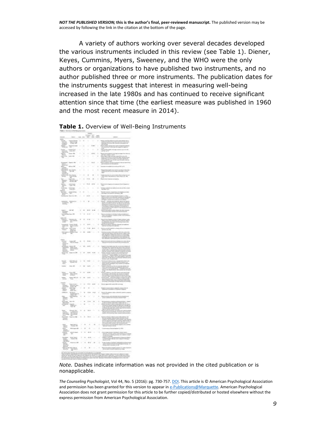A variety of authors working over several decades developed the various instruments included in this review (see [Table 1\)](http://journals.sagepub.com/doi/full/10.1177/0011000016633507). Diener, Keyes, Cummins, Myers, Sweeney, and the WHO were the only authors or organizations to have published two instruments, and no author published three or more instruments. The publication dates for the instruments suggest that interest in measuring well-being increased in the late 1980s and has continued to receive significant attention since that time (the earliest measure was published in 1960 and the most recent measure in 2014).

| Table 1. Overview of Well-Being Instruments |  |  |
|---------------------------------------------|--|--|
|---------------------------------------------|--|--|

|     | age (inc                                                                                                                          | $-14$  |               | ۹        | $-1$          | ٠           |  |  |
|-----|-----------------------------------------------------------------------------------------------------------------------------------|--------|---------------|----------|---------------|-------------|--|--|
|     |                                                                                                                                   | ٠      | ٠<br>ï        | ×,       | ×             | ÷           |  |  |
|     |                                                                                                                                   | ä      | ¥             | ä        | -<br>¥        | š<br>×<br>٠ |  |  |
|     |                                                                                                                                   |        | ٠             | ٠        | <b>SH</b>     | ٠           |  |  |
|     |                                                                                                                                   |        | ŧ             |          |               | ÷           |  |  |
| UU. |                                                                                                                                   | ٠      | ×             | ٠        | ×             | š           |  |  |
|     |                                                                                                                                   |        | ×             | ×        | $\frac{1}{2}$ | ï           |  |  |
|     |                                                                                                                                   |        |               |          | ٠             | ï           |  |  |
|     | <b>SE</b>                                                                                                                         |        |               |          |               | ٠           |  |  |
|     | territo.<br>m                                                                                                                     | š      |               |          |               | š<br>٠      |  |  |
|     |                                                                                                                                   |        |               |          |               |             |  |  |
|     | $\frac{1}{2} \sum_{i=1}^{n} \frac{1}{2} \sum_{j=1}^{n} \frac{1}{2} \left( \frac{1}{2} \right)^{n} \left( \frac{1}{2} \right)^{n}$ |        |               |          |               |             |  |  |
|     |                                                                                                                                   | W.     |               |          |               |             |  |  |
|     |                                                                                                                                   | 14.74  |               | $-4 + 1$ |               |             |  |  |
|     |                                                                                                                                   |        |               |          |               | ۱           |  |  |
|     |                                                                                                                                   | ÷      | ×             |          | ۰             | è           |  |  |
|     | Èï                                                                                                                                | ł      |               |          |               | ÷           |  |  |
|     |                                                                                                                                   |        |               |          |               | ٠           |  |  |
|     |                                                                                                                                   |        | ٠             |          |               |             |  |  |
|     |                                                                                                                                   |        |               |          |               |             |  |  |
|     |                                                                                                                                   | ť      |               |          |               |             |  |  |
|     |                                                                                                                                   |        |               |          |               |             |  |  |
|     |                                                                                                                                   |        |               |          |               |             |  |  |
|     |                                                                                                                                   |        |               |          |               |             |  |  |
|     |                                                                                                                                   |        |               |          |               |             |  |  |
|     |                                                                                                                                   |        | ٠             |          |               |             |  |  |
|     | Ë                                                                                                                                 |        |               |          |               |             |  |  |
|     | b,                                                                                                                                | đ<br>v | ×             | ۰        | ٠             | ţ           |  |  |
|     | $\sim$                                                                                                                            | ٠      | ٠             |          | ×             | H           |  |  |
|     |                                                                                                                                   | ä      | ä             | r        | ¥             | ×<br>٠      |  |  |
|     | B                                                                                                                                 |        |               |          |               |             |  |  |
|     |                                                                                                                                   |        |               |          |               |             |  |  |
|     | <b>Moderniz</b>                                                                                                                   | ×      | $\frac{1}{2}$ |          |               |             |  |  |
|     |                                                                                                                                   |        |               |          |               |             |  |  |
|     |                                                                                                                                   |        |               |          |               | щ           |  |  |
|     |                                                                                                                                   |        |               |          |               |             |  |  |
|     |                                                                                                                                   |        |               |          |               | è           |  |  |
|     | tions.                                                                                                                            |        |               |          |               |             |  |  |

#### *Note.* Dashes indicate information was not provided in the cited publication or is nonapplicable.

*The Counseling Psychologist*, Vol 44, No. 5 (2016): pg. 730-757[. DOI.](https://dx.doi.org/10.1177/0011000016633507) This article is © American Psychological Association and permission has been granted for this version to appear i[n e-Publications@Marquette.](http://epublications.marquette.edu/) American Psychological Association does not grant permission for this article to be further copied/distributed or hosted elsewhere without the express permission from American Psychological Association.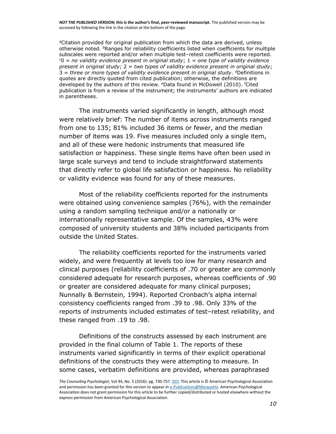<sup>a</sup>Citation provided for original publication from which the data are derived, unless otherwise noted. <sup>b</sup>Ranges for reliability coefficients listed when coefficients for multiple subscales were reported and/or when multiple test–retest coefficients were reported. <sup>c</sup>0 = *no validity evidence present in original study*; 1 = *one type of validity evidence present in original study*; 2 = *two types of validity evidence present in original study*; 3 = *three or more types of validity evidence present in original study*. <sup>d</sup>Definitions in quotes are directly quoted from cited publication; otherwise, the definitions are developed by the authors of this review. <sup>e</sup>Data found in [McDowell \(2010\).](http://journals.sagepub.com/doi/full/10.1177/0011000016633507) <sup>f</sup>Cited publication is from a review of the instrument; the instruments' authors are indicated in parentheses.

The instruments varied significantly in length, although most were relatively brief: The number of items across instruments ranged from one to 135; 81% included 36 items or fewer, and the median number of items was 19. Five measures included only a single item, and all of these were hedonic instruments that measured life satisfaction or happiness. These single items have often been used in large scale surveys and tend to include straightforward statements that directly refer to global life satisfaction or happiness. No reliability or validity evidence was found for any of these measures.

Most of the reliability coefficients reported for the instruments were obtained using convenience samples (76%), with the remainder using a random sampling technique and/or a nationally or internationally representative sample. Of the samples, 43% were composed of university students and 38% included participants from outside the United States.

The reliability coefficients reported for the instruments varied widely, and were frequently at levels too low for many research and clinical purposes (reliability coefficients of .70 or greater are commonly considered adequate for research purposes, whereas coefficients of .90 or greater are considered adequate for many clinical purposes; [Nunnally & Bernstein, 1994](http://journals.sagepub.com/doi/full/10.1177/0011000016633507)). Reported Cronbach's alpha internal consistency coefficients ranged from .39 to .98. Only 33% of the reports of instruments included estimates of test–retest reliability, and these ranged from .19 to .98.

Definitions of the constructs assessed by each instrument are provided in the final column of [Table 1.](http://journals.sagepub.com/doi/full/10.1177/0011000016633507) The reports of these instruments varied significantly in terms of their explicit operational definitions of the constructs they were attempting to measure. In some cases, verbatim definitions are provided, whereas paraphrased

*The Counseling Psychologist*, Vol 44, No. 5 (2016): pg. 730-757[. DOI.](https://dx.doi.org/10.1177/0011000016633507) This article is © American Psychological Association and permission has been granted for this version to appear i[n e-Publications@Marquette.](http://epublications.marquette.edu/) American Psychological Association does not grant permission for this article to be further copied/distributed or hosted elsewhere without the express permission from American Psychological Association.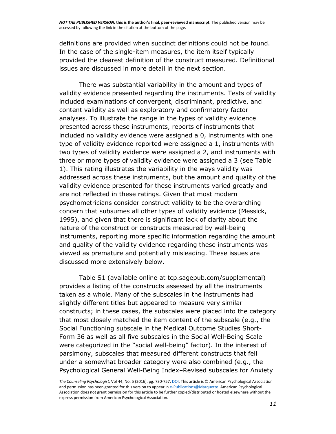definitions are provided when succinct definitions could not be found. In the case of the single-item measures, the item itself typically provided the clearest definition of the construct measured. Definitional issues are discussed in more detail in the next section.

There was substantial variability in the amount and types of validity evidence presented regarding the instruments. Tests of validity included examinations of convergent, discriminant, predictive, and content validity as well as exploratory and confirmatory factor analyses. To illustrate the range in the types of validity evidence presented across these instruments, reports of instruments that included no validity evidence were assigned a 0, instruments with one type of validity evidence reported were assigned a 1, instruments with two types of validity evidence were assigned a 2, and instruments with three or more types of validity evidence were assigned a 3 (see [Table](http://journals.sagepub.com/doi/full/10.1177/0011000016633507)  [1\)](http://journals.sagepub.com/doi/full/10.1177/0011000016633507). This rating illustrates the variability in the ways validity was addressed across these instruments, but the amount and quality of the validity evidence presented for these instruments varied greatly and are not reflected in these ratings. Given that most modern psychometricians consider construct validity to be the overarching concern that subsumes all other types of validity evidence [\(Messick,](http://journals.sagepub.com/doi/full/10.1177/0011000016633507)  [1995\)](http://journals.sagepub.com/doi/full/10.1177/0011000016633507), and given that there is significant lack of clarity about the nature of the construct or constructs measured by well-being instruments, reporting more specific information regarding the amount and quality of the validity evidence regarding these instruments was viewed as premature and potentially misleading. These issues are discussed more extensively below.

Table S1 (available online at [tcp.sagepub.com/supplemental\)](http://tcp.sagepub.com/supplemental) provides a listing of the constructs assessed by all the instruments taken as a whole. Many of the subscales in the instruments had slightly different titles but appeared to measure very similar constructs; in these cases, the subscales were placed into the category that most closely matched the item content of the subscale (e.g., the Social Functioning subscale in the Medical Outcome Studies Short-Form 36 as well as all five subscales in the Social Well-Being Scale were categorized in the "social well-being" factor). In the interest of parsimony, subscales that measured different constructs that fell under a somewhat broader category were also combined (e.g., the Psychological General Well-Being Index–Revised subscales for Anxiety

*The Counseling Psychologist*, Vol 44, No. 5 (2016): pg. 730-757[. DOI.](https://dx.doi.org/10.1177/0011000016633507) This article is © American Psychological Association and permission has been granted for this version to appear i[n e-Publications@Marquette.](http://epublications.marquette.edu/) American Psychological Association does not grant permission for this article to be further copied/distributed or hosted elsewhere without the express permission from American Psychological Association.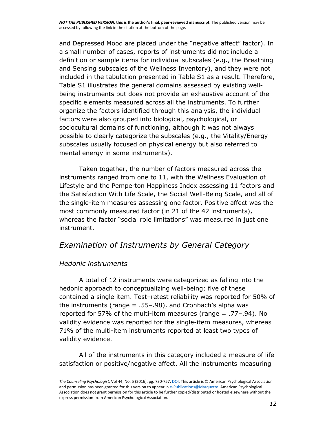and Depressed Mood are placed under the "negative affect" factor). In a small number of cases, reports of instruments did not include a definition or sample items for individual subscales (e.g., the Breathing and Sensing subscales of the Wellness Inventory), and they were not included in the tabulation presented in Table S1 as a result. Therefore, Table S1 illustrates the general domains assessed by existing wellbeing instruments but does not provide an exhaustive account of the specific elements measured across all the instruments. To further organize the factors identified through this analysis, the individual factors were also grouped into biological, psychological, or sociocultural domains of functioning, although it was not always possible to clearly categorize the subscales (e.g., the Vitality/Energy subscales usually focused on physical energy but also referred to mental energy in some instruments).

Taken together, the number of factors measured across the instruments ranged from one to 11, with the Wellness Evaluation of Lifestyle and the Pemperton Happiness Index assessing 11 factors and the Satisfaction With Life Scale, the Social Well-Being Scale, and all of the single-item measures assessing one factor. Positive affect was the most commonly measured factor (in 21 of the 42 instruments), whereas the factor "social role limitations" was measured in just one instrument.

## *Examination of Instruments by General Category*

#### *Hedonic instruments*

A total of 12 instruments were categorized as falling into the hedonic approach to conceptualizing well-being; five of these contained a single item. Test–retest reliability was reported for 50% of the instruments (range  $= .55-.98$ ), and Cronbach's alpha was reported for 57% of the multi-item measures (range = .77–.94). No validity evidence was reported for the single-item measures, whereas 71% of the multi-item instruments reported at least two types of validity evidence.

All of the instruments in this category included a measure of life satisfaction or positive/negative affect. All the instruments measuring

*The Counseling Psychologist*, Vol 44, No. 5 (2016): pg. 730-757[. DOI.](https://dx.doi.org/10.1177/0011000016633507) This article is © American Psychological Association and permission has been granted for this version to appear i[n e-Publications@Marquette.](http://epublications.marquette.edu/) American Psychological Association does not grant permission for this article to be further copied/distributed or hosted elsewhere without the express permission from American Psychological Association.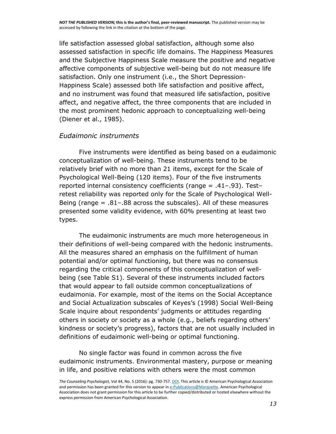life satisfaction assessed global satisfaction, although some also assessed satisfaction in specific life domains. The Happiness Measures and the Subjective Happiness Scale measure the positive and negative affective components of subjective well-being but do not measure life satisfaction. Only one instrument (i.e., the Short Depression-Happiness Scale) assessed both life satisfaction and positive affect, and no instrument was found that measured life satisfaction, positive affect, and negative affect, the three components that are included in the most prominent hedonic approach to conceptualizing well-being [\(Diener et al., 1985\)](http://journals.sagepub.com/doi/full/10.1177/0011000016633507).

#### *Eudaimonic instruments*

Five instruments were identified as being based on a eudaimonic conceptualization of well-being. These instruments tend to be relatively brief with no more than 21 items, except for the Scale of Psychological Well-Being (120 items). Four of the five instruments reported internal consistency coefficients (range = .41–.93). Test– retest reliability was reported only for the Scale of Psychological Well-Being (range  $= .81 - .88$  across the subscales). All of these measures presented some validity evidence, with 60% presenting at least two types.

The eudaimonic instruments are much more heterogeneous in their definitions of well-being compared with the hedonic instruments. All the measures shared an emphasis on the fulfillment of human potential and/or optimal functioning, but there was no consensus regarding the critical components of this conceptualization of wellbeing (see Table S1). Several of these instruments included factors that would appear to fall outside common conceptualizations of eudaimonia. For example, most of the items on the Social Acceptance and Social Actualization subscales of Keyes['s \(1998\)](http://journals.sagepub.com/doi/full/10.1177/0011000016633507) Social Well-Being Scale inquire about respondents' judgments or attitudes regarding others in society or society as a whole (e.g., beliefs regarding others' kindness or society's progress), factors that are not usually included in definitions of eudaimonic well-being or optimal functioning.

No single factor was found in common across the five eudaimonic instruments. Environmental mastery, purpose or meaning in life, and positive relations with others were the most common

*The Counseling Psychologist*, Vol 44, No. 5 (2016): pg. 730-757[. DOI.](https://dx.doi.org/10.1177/0011000016633507) This article is © American Psychological Association and permission has been granted for this version to appear i[n e-Publications@Marquette.](http://epublications.marquette.edu/) American Psychological Association does not grant permission for this article to be further copied/distributed or hosted elsewhere without the express permission from American Psychological Association.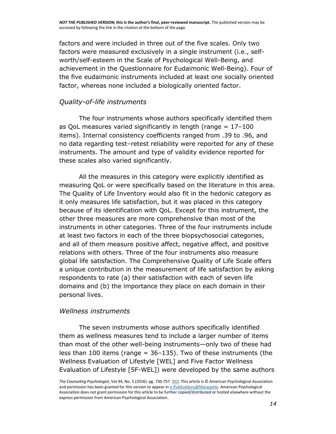factors and were included in three out of the five scales. Only two factors were measured exclusively in a single instrument (i.e., selfworth/self-esteem in the Scale of Psychological Well-Being, and achievement in the Questionnaire for Eudaimonic Well-Being). Four of the five eudaimonic instruments included at least one socially oriented factor, whereas none included a biologically oriented factor.

#### *Quality-of-life instruments*

The four instruments whose authors specifically identified them as OoL measures varied significantly in length (range  $= 17-100$ items). Internal consistency coefficients ranged from .39 to .96, and no data regarding test–retest reliability were reported for any of these instruments. The amount and type of validity evidence reported for these scales also varied significantly.

All the measures in this category were explicitly identified as measuring QoL or were specifically based on the literature in this area. The Quality of Life Inventory would also fit in the hedonic category as it only measures life satisfaction, but it was placed in this category because of its identification with QoL. Except for this instrument, the other three measures are more comprehensive than most of the instruments in other categories. Three of the four instruments include at least two factors in each of the three biopsychosocial categories, and all of them measure positive affect, negative affect, and positive relations with others. Three of the four instruments also measure global life satisfaction. The Comprehensive Quality of Life Scale offers a unique contribution in the measurement of life satisfaction by asking respondents to rate (a) their satisfaction with each of seven life domains and (b) the importance they place on each domain in their personal lives.

#### *Wellness instruments*

The seven instruments whose authors specifically identified them as wellness measures tend to include a larger number of items than most of the other well-being instruments—only two of these had less than 100 items (range = 36–135). Two of these instruments (the Wellness Evaluation of Lifestyle [WEL] and Five Factor Wellness Evaluation of Lifestyle [5F-WEL]) were developed by the same authors

*The Counseling Psychologist*, Vol 44, No. 5 (2016): pg. 730-757[. DOI.](https://dx.doi.org/10.1177/0011000016633507) This article is © American Psychological Association and permission has been granted for this version to appear i[n e-Publications@Marquette.](http://epublications.marquette.edu/) American Psychological Association does not grant permission for this article to be further copied/distributed or hosted elsewhere without the express permission from American Psychological Association.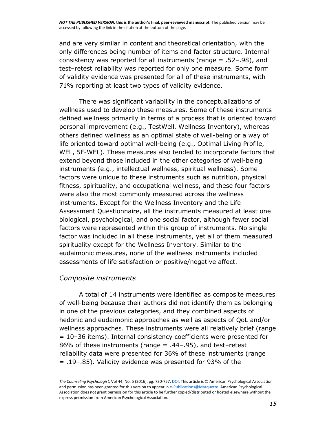and are very similar in content and theoretical orientation, with the only differences being number of items and factor structure. Internal consistency was reported for all instruments (range = .52–.98), and test–retest reliability was reported for only one measure. Some form of validity evidence was presented for all of these instruments, with 71% reporting at least two types of validity evidence.

There was significant variability in the conceptualizations of wellness used to develop these measures. Some of these instruments defined wellness primarily in terms of a process that is oriented toward personal improvement (e.g., TestWell, Wellness Inventory), whereas others defined wellness as an optimal state of well-being or a way of life oriented toward optimal well-being (e.g., Optimal Living Profile, WEL, 5F-WEL). These measures also tended to incorporate factors that extend beyond those included in the other categories of well-being instruments (e.g., intellectual wellness, spiritual wellness). Some factors were unique to these instruments such as nutrition, physical fitness, spirituality, and occupational wellness, and these four factors were also the most commonly measured across the wellness instruments. Except for the Wellness Inventory and the Life Assessment Questionnaire, all the instruments measured at least one biological, psychological, and one social factor, although fewer social factors were represented within this group of instruments. No single factor was included in all these instruments, yet all of them measured spirituality except for the Wellness Inventory. Similar to the eudaimonic measures, none of the wellness instruments included assessments of life satisfaction or positive/negative affect.

#### *Composite instruments*

A total of 14 instruments were identified as composite measures of well-being because their authors did not identify them as belonging in one of the previous categories, and they combined aspects of hedonic and eudaimonic approaches as well as aspects of QoL and/or wellness approaches. These instruments were all relatively brief (range = 10–36 items). Internal consistency coefficients were presented for 86% of these instruments (range = .44–.95), and test–retest reliability data were presented for 36% of these instruments (range = .19–.85). Validity evidence was presented for 93% of the

*The Counseling Psychologist*, Vol 44, No. 5 (2016): pg. 730-757[. DOI.](https://dx.doi.org/10.1177/0011000016633507) This article is © American Psychological Association and permission has been granted for this version to appear i[n e-Publications@Marquette.](http://epublications.marquette.edu/) American Psychological Association does not grant permission for this article to be further copied/distributed or hosted elsewhere without the express permission from American Psychological Association.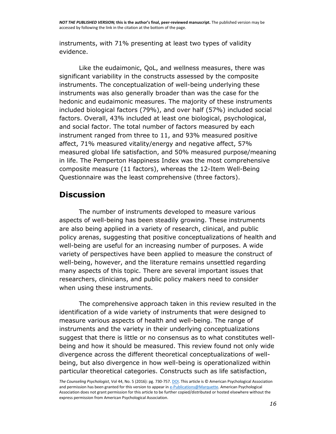instruments, with 71% presenting at least two types of validity evidence.

Like the eudaimonic, QoL, and wellness measures, there was significant variability in the constructs assessed by the composite instruments. The conceptualization of well-being underlying these instruments was also generally broader than was the case for the hedonic and eudaimonic measures. The majority of these instruments included biological factors (79%), and over half (57%) included social factors. Overall, 43% included at least one biological, psychological, and social factor. The total number of factors measured by each instrument ranged from three to 11, and 93% measured positive affect, 71% measured vitality/energy and negative affect, 57% measured global life satisfaction, and 50% measured purpose/meaning in life. The Pemperton Happiness Index was the most comprehensive composite measure (11 factors), whereas the 12-Item Well-Being Questionnaire was the least comprehensive (three factors).

## **Discussion**

The number of instruments developed to measure various aspects of well-being has been steadily growing. These instruments are also being applied in a variety of research, clinical, and public policy arenas, suggesting that positive conceptualizations of health and well-being are useful for an increasing number of purposes. A wide variety of perspectives have been applied to measure the construct of well-being, however, and the literature remains unsettled regarding many aspects of this topic. There are several important issues that researchers, clinicians, and public policy makers need to consider when using these instruments.

The comprehensive approach taken in this review resulted in the identification of a wide variety of instruments that were designed to measure various aspects of health and well-being. The range of instruments and the variety in their underlying conceptualizations suggest that there is little or no consensus as to what constitutes wellbeing and how it should be measured. This review found not only wide divergence across the different theoretical conceptualizations of wellbeing, but also divergence in how well-being is operationalized within particular theoretical categories. Constructs such as life satisfaction,

*The Counseling Psychologist*, Vol 44, No. 5 (2016): pg. 730-757[. DOI.](https://dx.doi.org/10.1177/0011000016633507) This article is © American Psychological Association and permission has been granted for this version to appear i[n e-Publications@Marquette.](http://epublications.marquette.edu/) American Psychological Association does not grant permission for this article to be further copied/distributed or hosted elsewhere without the express permission from American Psychological Association.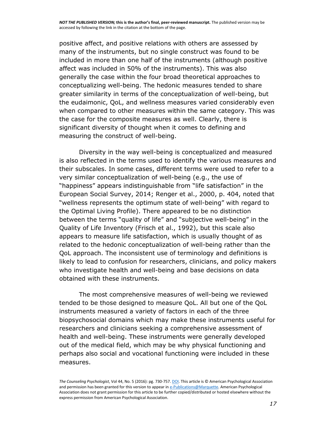positive affect, and positive relations with others are assessed by many of the instruments, but no single construct was found to be included in more than one half of the instruments (although positive affect was included in 50% of the instruments). This was also generally the case within the four broad theoretical approaches to conceptualizing well-being. The hedonic measures tended to share greater similarity in terms of the conceptualization of well-being, but the eudaimonic, QoL, and wellness measures varied considerably even when compared to other measures within the same category. This was the case for the composite measures as well. Clearly, there is significant diversity of thought when it comes to defining and measuring the construct of well-being.

Diversity in the way well-being is conceptualized and measured is also reflected in the terms used to identify the various measures and their subscales. In some cases, different terms were used to refer to a very similar conceptualization of well-being (e.g., the use of "happiness" appears indistinguishable from "life satisfaction" in the [European Social Survey, 2014; Renger et al., 2000,](http://journals.sagepub.com/doi/full/10.1177/0011000016633507) p. 404, noted that "wellness represents the optimum state of well-being" with regard to the Optimal Living Profile). There appeared to be no distinction between the terms "quality of life" and "subjective well-being" in the Quality of Life Inventory (Frisch [et al., 1992\)](http://journals.sagepub.com/doi/full/10.1177/0011000016633507), but this scale also appears to measure life satisfaction, which is usually thought of as related to the hedonic conceptualization of well-being rather than the QoL approach. The inconsistent use of terminology and definitions is likely to lead to confusion for researchers, clinicians, and policy makers who investigate health and well-being and base decisions on data obtained with these instruments.

The most comprehensive measures of well-being we reviewed tended to be those designed to measure QoL. All but one of the QoL instruments measured a variety of factors in each of the three biopsychosocial domains which may make these instruments useful for researchers and clinicians seeking a comprehensive assessment of health and well-being. These instruments were generally developed out of the medical field, which may be why physical functioning and perhaps also social and vocational functioning were included in these measures.

*The Counseling Psychologist*, Vol 44, No. 5 (2016): pg. 730-757[. DOI.](https://dx.doi.org/10.1177/0011000016633507) This article is © American Psychological Association and permission has been granted for this version to appear i[n e-Publications@Marquette.](http://epublications.marquette.edu/) American Psychological Association does not grant permission for this article to be further copied/distributed or hosted elsewhere without the express permission from American Psychological Association.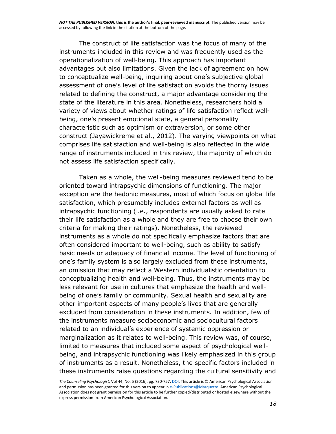The construct of life satisfaction was the focus of many of the instruments included in this review and was frequently used as the operationalization of well-being. This approach has important advantages but also limitations. Given the lack of agreement on how to conceptualize well-being, inquiring about one's subjective global assessment of one's level of life satisfaction avoids the thorny issues related to defining the construct, a major advantage considering the state of the literature in this area. Nonetheless, researchers hold a variety of views about whether ratings of life satisfaction reflect wellbeing, one's present emotional state, a general personality characteristic such as optimism or extraversion, or some other construct [\(Jayawickreme et al., 2012\)](http://journals.sagepub.com/doi/full/10.1177/0011000016633507). The varying viewpoints on what comprises life satisfaction and well-being is also reflected in the wide range of instruments included in this review, the majority of which do not assess life satisfaction specifically.

Taken as a whole, the well-being measures reviewed tend to be oriented toward intrapsychic dimensions of functioning. The major exception are the hedonic measures, most of which focus on global life satisfaction, which presumably includes external factors as well as intrapsychic functioning (i.e., respondents are usually asked to rate their life satisfaction as a whole and they are free to choose their own criteria for making their ratings). Nonetheless, the reviewed instruments as a whole do not specifically emphasize factors that are often considered important to well-being, such as ability to satisfy basic needs or adequacy of financial income. The level of functioning of one's family system is also largely excluded from these instruments, an omission that may reflect a Western individualistic orientation to conceptualizing health and well-being. Thus, the instruments may be less relevant for use in cultures that emphasize the health and wellbeing of one's family or community. Sexual health and sexuality are other important aspects of many people's lives that are generally excluded from consideration in these instruments. In addition, few of the instruments measure socioeconomic and sociocultural factors related to an individual's experience of systemic oppression or marginalization as it relates to well-being. This review was, of course, limited to measures that included some aspect of psychological wellbeing, and intrapsychic functioning was likely emphasized in this group of instruments as a result. Nonetheless, the specific factors included in these instruments raise questions regarding the cultural sensitivity and

*The Counseling Psychologist*, Vol 44, No. 5 (2016): pg. 730-757[. DOI.](https://dx.doi.org/10.1177/0011000016633507) This article is © American Psychological Association and permission has been granted for this version to appear i[n e-Publications@Marquette.](http://epublications.marquette.edu/) American Psychological Association does not grant permission for this article to be further copied/distributed or hosted elsewhere without the express permission from American Psychological Association.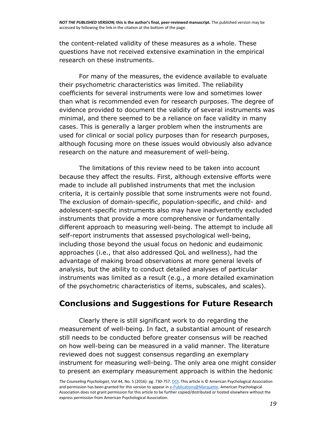the content-related validity of these measures as a whole. These questions have not received extensive examination in the empirical research on these instruments.

For many of the measures, the evidence available to evaluate their psychometric characteristics was limited. The reliability coefficients for several instruments were low and sometimes lower than what is recommended even for research purposes. The degree of evidence provided to document the validity of several instruments was minimal, and there seemed to be a reliance on face validity in many cases. This is generally a larger problem when the instruments are used for clinical or social policy purposes than for research purposes, although focusing more on these issues would obviously also advance research on the nature and measurement of well-being.

The limitations of this review need to be taken into account because they affect the results. First, although extensive efforts were made to include all published instruments that met the inclusion criteria, it is certainly possible that some instruments were not found. The exclusion of domain-specific, population-specific, and child- and adolescent-specific instruments also may have inadvertently excluded instruments that provide a more comprehensive or fundamentally different approach to measuring well-being. The attempt to include all self-report instruments that assessed psychological well-being, including those beyond the usual focus on hedonic and eudaimonic approaches (i.e., that also addressed QoL and wellness), had the advantage of making broad observations at more general levels of analysis, but the ability to conduct detailed analyses of particular instruments was limited as a result (e.g., a more detailed examination of the psychometric characteristics of items, subscales, and scales).

## **Conclusions and Suggestions for Future Research**

Clearly there is still significant work to do regarding the measurement of well-being. In fact, a substantial amount of research still needs to be conducted before greater consensus will be reached on how well-being can be measured in a valid manner. The literature reviewed does not suggest consensus regarding an exemplary instrument for measuring well-being. The only area one might consider to present an exemplary measurement approach is within the hedonic

*The Counseling Psychologist*, Vol 44, No. 5 (2016): pg. 730-757[. DOI.](https://dx.doi.org/10.1177/0011000016633507) This article is © American Psychological Association and permission has been granted for this version to appear i[n e-Publications@Marquette.](http://epublications.marquette.edu/) American Psychological Association does not grant permission for this article to be further copied/distributed or hosted elsewhere without the express permission from American Psychological Association.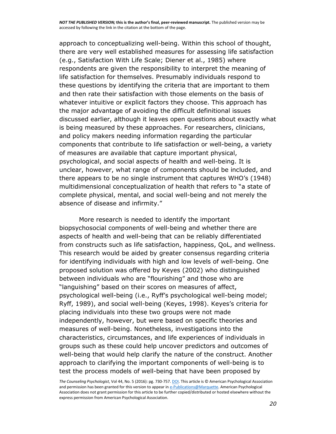approach to conceptualizing well-being. Within this school of thought, there are very well established measures for assessing life satisfaction (e.g., Satisfaction With Life Scale; [Diener et al., 1985\)](http://journals.sagepub.com/doi/full/10.1177/0011000016633507) where respondents are given the responsibility to interpret the meaning of life satisfaction for themselves. Presumably individuals respond to these questions by identifying the criteria that are important to them and then rate their satisfaction with those elements on the basis of whatever intuitive or explicit factors they choose. This approach has the major advantage of avoiding the difficult definitional issues discussed earlier, although it leaves open questions about exactly what is being measured by these approaches. For researchers, clinicians, and policy makers needing information regarding the particular components that contribute to life satisfaction or well-being, a variety of measures are available that capture important physical, psychological, and social aspects of health and well-being. It is unclear, however, what range of components should be included, and there appears to be no single instrument that captures [WHO's \(1948\)](http://journals.sagepub.com/doi/full/10.1177/0011000016633507) multidimensional conceptualization of health that refers to "a state of complete physical, mental, and social well-being and not merely the absence of disease and infirmity."

More research is needed to identify the important biopsychosocial components of well-being and whether there are aspects of health and well-being that can be reliably differentiated from constructs such as life satisfaction, happiness, QoL, and wellness. This research would be aided by greater consensus regarding criteria for identifying individuals with high and low levels of well-being. One proposed solution was offered by [Keyes \(2002\)](http://journals.sagepub.com/doi/full/10.1177/0011000016633507) who distinguished between individuals who are "flourishing" and those who are "languishing" based on their scores on measures of affect, psychological well-being (i.e., Ryff's psychological well-being model; [Ryff, 1989\)](http://journals.sagepub.com/doi/full/10.1177/0011000016633507), and social well-being [\(Keyes, 1998\)](http://journals.sagepub.com/doi/full/10.1177/0011000016633507). Keyes's criteria for placing individuals into these two groups were not made independently, however, but were based on specific theories and measures of well-being. Nonetheless, investigations into the characteristics, circumstances, and life experiences of individuals in groups such as these could help uncover predictors and outcomes of well-being that would help clarify the nature of the construct. Another approach to clarifying the important components of well-being is to test the process models of well-being that have been proposed by

*The Counseling Psychologist*, Vol 44, No. 5 (2016): pg. 730-757[. DOI.](https://dx.doi.org/10.1177/0011000016633507) This article is © American Psychological Association and permission has been granted for this version to appear i[n e-Publications@Marquette.](http://epublications.marquette.edu/) American Psychological Association does not grant permission for this article to be further copied/distributed or hosted elsewhere without the express permission from American Psychological Association.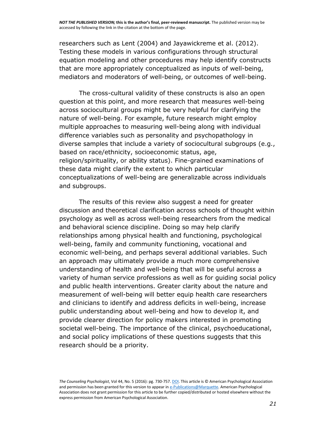researchers such as [Lent \(2004\)](http://journals.sagepub.com/doi/full/10.1177/0011000016633507) and [Jayawickreme et al. \(2012\).](http://journals.sagepub.com/doi/full/10.1177/0011000016633507) Testing these models in various configurations through structural equation modeling and other procedures may help identify constructs that are more appropriately conceptualized as inputs of well-being, mediators and moderators of well-being, or outcomes of well-being.

The cross-cultural validity of these constructs is also an open question at this point, and more research that measures well-being across sociocultural groups might be very helpful for clarifying the nature of well-being. For example, future research might employ multiple approaches to measuring well-being along with individual difference variables such as personality and psychopathology in diverse samples that include a variety of sociocultural subgroups (e.g., based on race/ethnicity, socioeconomic status, age, religion/spirituality, or ability status). Fine-grained examinations of these data might clarify the extent to which particular conceptualizations of well-being are generalizable across individuals and subgroups.

The results of this review also suggest a need for greater discussion and theoretical clarification across schools of thought within psychology as well as across well-being researchers from the medical and behavioral science discipline. Doing so may help clarify relationships among physical health and functioning, psychological well-being, family and community functioning, vocational and economic well-being, and perhaps several additional variables. Such an approach may ultimately provide a much more comprehensive understanding of health and well-being that will be useful across a variety of human service professions as well as for guiding social policy and public health interventions. Greater clarity about the nature and measurement of well-being will better equip health care researchers and clinicians to identify and address deficits in well-being, increase public understanding about well-being and how to develop it, and provide clearer direction for policy makers interested in promoting societal well-being. The importance of the clinical, psychoeducational, and social policy implications of these questions suggests that this research should be a priority.

*The Counseling Psychologist*, Vol 44, No. 5 (2016): pg. 730-757[. DOI.](https://dx.doi.org/10.1177/0011000016633507) This article is © American Psychological Association and permission has been granted for this version to appear i[n e-Publications@Marquette.](http://epublications.marquette.edu/) American Psychological Association does not grant permission for this article to be further copied/distributed or hosted elsewhere without the express permission from American Psychological Association.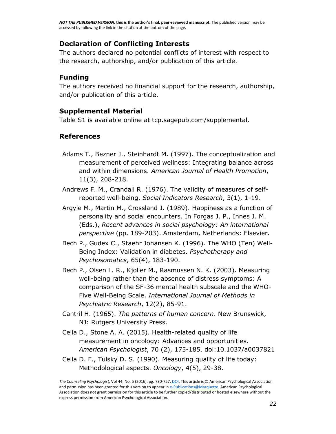### **Declaration of Conflicting Interests**

The authors declared no potential conflicts of interest with respect to the research, authorship, and/or publication of this article.

## **Funding**

The authors received no financial support for the research, authorship, and/or publication of this article.

### **Supplemental Material**

Table S1 is available online at [tcp.sagepub.com/supplemental.](http://tcp.sagepub.com/supplemental)

### **References**

- Adams T., Bezner J., Steinhardt M. (1997). The conceptualization and measurement of perceived wellness: Integrating balance across and within dimensions. *American Journal of Health Promotion*, 11(3), 208-218.
- Andrews F. M., Crandall R. (1976). The validity of measures of selfreported well-being. *Social Indicators Research*, 3(1), 1-19.
- Argyle M., Martin M., Crossland J. (1989). Happiness as a function of personality and social encounters. In Forgas J. P., Innes J. M. (Eds.), *Recent advances in social psychology: An international perspective* (pp. 189-203). Amsterdam, Netherlands: Elsevier.
- Bech P., Gudex C., Staehr Johansen K. (1996). The WHO (Ten) Well-Being Index: Validation in diabetes. *Psychotherapy and Psychosomatics*, 65(4), 183-190.
- Bech P., Olsen L. R., Kjoller M., Rasmussen N. K. (2003). Measuring well-being rather than the absence of distress symptoms: A comparison of the SF-36 mental health subscale and the WHO-Five Well-Being Scale. *International Journal of Methods in Psychiatric Research*, 12(2), 85-91.
- Cantril H. (1965). *The patterns of human concern*. New Brunswick, NJ: Rutgers University Press.
- Cella D., Stone A. A. (2015). Health-related quality of life measurement in oncology: Advances and opportunities. *American Psychologist*, 70 (2), 175-185. doi:10.1037/a0037821
- Cella D. F., Tulsky D. S. (1990). Measuring quality of life today: Methodological aspects. *Oncology*, 4(5), 29-38.

*The Counseling Psychologist*, Vol 44, No. 5 (2016): pg. 730-757[. DOI.](https://dx.doi.org/10.1177/0011000016633507) This article is © American Psychological Association and permission has been granted for this version to appear i[n e-Publications@Marquette.](http://epublications.marquette.edu/) American Psychological Association does not grant permission for this article to be further copied/distributed or hosted elsewhere without the express permission from American Psychological Association.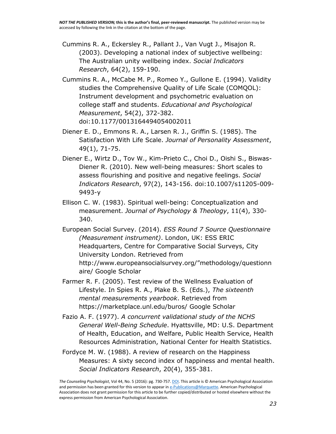- Cummins R. A., Eckersley R., Pallant J., Van Vugt J., Misajon R. (2003). Developing a national index of subjective wellbeing: The Australian unity wellbeing index. *Social Indicators Research*, 64(2), 159-190.
- Cummins R. A., McCabe M. P., Romeo Y., Gullone E. (1994). Validity studies the Comprehensive Quality of Life Scale (COMQOL): Instrument development and psychometric evaluation on college staff and students. *Educational and Psychological Measurement*, 54(2), 372-382. doi:10.1177/0013164494054002011
- Diener E. D., Emmons R. A., Larsen R. J., Griffin S. (1985). The Satisfaction With Life Scale. *Journal of Personality Assessment*, 49(1), 71-75.
- Diener E., Wirtz D., Tov W., Kim-Prieto C., Choi D., Oishi S., Biswas-Diener R. (2010). New well-being measures: Short scales to assess flourishing and positive and negative feelings. *Social Indicators Research*, 97(2), 143-156. doi:10.1007/s11205-009- 9493-y
- Ellison C. W. (1983). Spiritual well-being: Conceptualization and measurement. *Journal of Psychology & Theology*, 11(4), 330- 340.
- European Social Survey. (2014). *ESS Round 7 Source Questionnaire (Measurement instrument)*. London, UK: ESS ERIC Headquarters, Centre for Comparative Social Surveys, City University London. Retrieved from [http://www.europeansocialsurvey.org/"methodology/questionn](http://www.europeansocialsurvey.org/%E2%80%9Dmethodology/questionnaire/) [aire/](http://www.europeansocialsurvey.org/%E2%80%9Dmethodology/questionnaire/) [Google Scholar](http://scholar.google.com/scholar_lookup?publication_year=2014&pages=330-340&issue=4&author=European+Social+Survey&title=ESS+Round+7+Source+Questionnaire&)
- Farmer R. F. (2005). Test review of the Wellness Evaluation of Lifestyle. In Spies R. A., Plake B. S. (Eds.), *The sixteenth mental measurements yearbook*. Retrieved from <https://marketplace.unl.edu/buros/> [Google Scholar](http://scholar.google.com/scholar_lookup?publication_year=2005&pages=330-340&issue=4&author=R.+F.+Farmerauthor=R.+A.+Spies&author=B.+S.+Plake&title=Test+review+of+the+Wellness+Evaluation+of+Lifestyle&)
- Fazio A. F. (1977). *A concurrent validational study of the NCHS General Well-Being Schedule*. Hyattsville, MD: U.S. Department of Health, Education, and Welfare, Public Health Service, Health Resources Administration, National Center for Health Statistics.
- Fordyce M. W. (1988). A review of research on the Happiness Measures: A sixty second index of happiness and mental health. *Social Indicators Research*, 20(4), 355-381.

*The Counseling Psychologist*, Vol 44, No. 5 (2016): pg. 730-757[. DOI.](https://dx.doi.org/10.1177/0011000016633507) This article is © American Psychological Association and permission has been granted for this version to appear i[n e-Publications@Marquette.](http://epublications.marquette.edu/) American Psychological Association does not grant permission for this article to be further copied/distributed or hosted elsewhere without the express permission from American Psychological Association.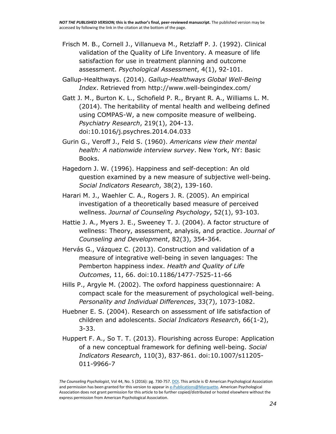Frisch M. B., Cornell J., Villanueva M., Retzlaff P. J. (1992). Clinical validation of the Quality of Life Inventory. A measure of life satisfaction for use in treatment planning and outcome assessment. *Psychological Assessment*, 4(1), 92-101.

Gallup-Healthways. (2014). *Gallup-Healthways Global Well-Being Index*. Retrieved from<http://www.well-beingindex.com/>

- Gatt J. M., Burton K. L., Schofield P. R., Bryant R. A., Williams L. M. (2014). The heritability of mental health and wellbeing defined using COMPAS-W, a new composite measure of wellbeing. *Psychiatry Research*, 219(1), 204-13. doi:10.1016/j.psychres.2014.04.033
- Gurin G., Veroff J., Feld S. (1960). *Americans view their mental health: A nationwide interview survey*. New York, NY: Basic Books.
- Hagedorn J. W. (1996). Happiness and self-deception: An old question examined by a new measure of subjective well-being. *Social Indicators Research*, 38(2), 139-160.
- Harari M. J., Waehler C. A., Rogers J. R. (2005). An empirical investigation of a theoretically based measure of perceived wellness. *Journal of Counseling Psychology*, 52(1), 93-103.
- Hattie J. A., Myers J. E., Sweeney T. J. (2004). A factor structure of wellness: Theory, assessment, analysis, and practice. *Journal of Counseling and Development*, 82(3), 354-364.
- Hervás G., Vázquez C. (2013). Construction and validation of a measure of integrative well-being in seven languages: The Pemberton happiness index. *Health and Quality of Life Outcomes*, 11, 66. doi:10.1186/1477-7525-11-66
- Hills P., Argyle M. (2002). The oxford happiness questionnaire: A compact scale for the measurement of psychological well-being. *Personality and Individual Differences*, 33(7), 1073-1082.
- Huebner E. S. (2004). Research on assessment of life satisfaction of children and adolescents. *Social Indicators Research*, 66(1-2), 3-33.
- Huppert F. A., So T. T. (2013). Flourishing across Europe: Application of a new conceptual framework for defining well-being. *Social Indicators Research*, 110(3), 837-861. doi:10.1007/s11205- 011-9966-7

*The Counseling Psychologist*, Vol 44, No. 5 (2016): pg. 730-757[. DOI.](https://dx.doi.org/10.1177/0011000016633507) This article is © American Psychological Association and permission has been granted for this version to appear i[n e-Publications@Marquette.](http://epublications.marquette.edu/) American Psychological Association does not grant permission for this article to be further copied/distributed or hosted elsewhere without the express permission from American Psychological Association.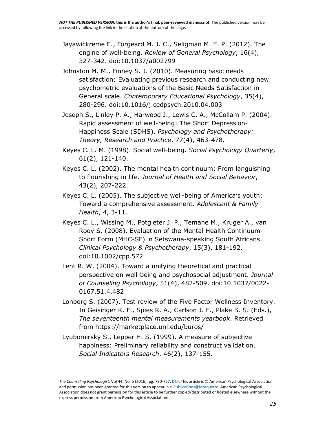- Jayawickreme E., Forgeard M. J. C., Seligman M. E. P. (2012). The engine of well-being. *Review of General Psychology*, 16(4), 327-342. doi:10.1037/a002799
- Johnston M. M., Finney S. J. (2010). Measuring basic needs satisfaction: Evaluating previous research and conducting new psychometric evaluations of the Basic Needs Satisfaction in General scale. *Contemporary Educational Psychology*, 35(4), 280-296. doi:10.1016/j.cedpsych.2010.04.003
- Joseph S., Linley P. A., Harwood J., Lewis C. A., McCollam P. (2004). Rapid assessment of well-being: The Short Depression-Happiness Scale (SDHS). *Psychology and Psychotherapy: Theory, Research and Practice*, 77(4), 463-478.
- Keyes C. L. M. (1998). Social well-being. *Social Psychology Quarterly*, 61(2), 121-140.
- Keyes C. L. (2002). The mental health continuum: From languishing to flourishing in life. *Journal of Health and Social Behavior*, 43(2), 207-222.
- Keyes C. L. (2005). The subjective well-being of America's youth: Toward a comprehensive assessment. *Adolescent & Family Health*, 4, 3-11.
- Keyes C. L., Wissing M., Potgieter J. P., Temane M., Kruger A., van Rooy S. (2008). Evaluation of the Mental Health Continuum-Short Form (MHC-SF) in Setswana-speaking South Africans. *Clinical Psychology & Psychotherapy*, 15(3), 181-192. doi:10.1002/cpp.572
- Lent R. W. (2004). Toward a unifying theoretical and practical perspective on well-being and psychosocial adjustment. *Journal of Counseling Psychology*, 51(4), 482-509. doi:10.1037/0022- 0167.51.4.482
- Lonborg S. (2007). Test review of the Five Factor Wellness Inventory. In Geisinger K. F., Spies R. A., Carlson J. F., Plake B. S. (Eds.), *The seventeenth mental measurements yearbook*. Retrieved from<https://marketplace.unl.edu/buros/>
- Lyubomirsky S., Lepper H. S. (1999). A measure of subjective happiness: Preliminary reliability and construct validation. *Social Indicators Research*, 46(2), 137-155.

*The Counseling Psychologist*, Vol 44, No. 5 (2016): pg. 730-757[. DOI.](https://dx.doi.org/10.1177/0011000016633507) This article is © American Psychological Association and permission has been granted for this version to appear i[n e-Publications@Marquette.](http://epublications.marquette.edu/) American Psychological Association does not grant permission for this article to be further copied/distributed or hosted elsewhere without the express permission from American Psychological Association.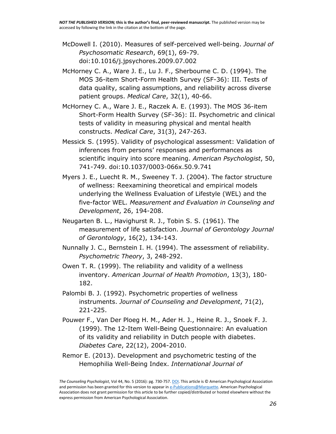- McDowell I. (2010). Measures of self-perceived well-being. *Journal of Psychosomatic Research*, 69(1), 69-79. doi:10.1016/j.jpsychores.2009.07.002
- McHorney C. A., Ware J. E., Lu J. F., Sherbourne C. D. (1994). The MOS 36-item Short-Form Health Survey (SF-36): III. Tests of data quality, scaling assumptions, and reliability across diverse patient groups. *Medical Care*, 32(1), 40-66.
- McHorney C. A., Ware J. E., Raczek A. E. (1993). The MOS 36-item Short-Form Health Survey (SF-36): II. Psychometric and clinical tests of validity in measuring physical and mental health constructs. *Medical Care*, 31(3), 247-263.
- Messick S. (1995). Validity of psychological assessment: Validation of inferences from persons' responses and performances as scientific inquiry into score meaning. *American Psychologist*, 50, 741-749. doi:10.1037/0003-066x.50.9.741
- Myers J. E., Luecht R. M., Sweeney T. J. (2004). The factor structure of wellness: Reexamining theoretical and empirical models underlying the Wellness Evaluation of Lifestyle (WEL) and the five-factor WEL. *Measurement and Evaluation in Counseling and Development*, 26, 194-208.
- Neugarten B. L., Havighurst R. J., Tobin S. S. (1961). The measurement of life satisfaction. *Journal of Gerontology Journal of Gerontology*, 16(2), 134-143.
- Nunnally J. C., Bernstein I. H. (1994). The assessment of reliability. *Psychometric Theory*, 3, 248-292.
- Owen T. R. (1999). The reliability and validity of a wellness inventory. *American Journal of Health Promotion*, 13(3), 180- 182.
- Palombi B. J. (1992). Psychometric properties of wellness instruments. *Journal of Counseling and Development*, 71(2), 221-225.
- Pouwer F., Van Der Ploeg H. M., Ader H. J., Heine R. J., Snoek F. J. (1999). The 12-Item Well-Being Questionnaire: An evaluation of its validity and reliability in Dutch people with diabetes. *Diabetes Care*, 22(12), 2004-2010.
- Remor E. (2013). Development and psychometric testing of the Hemophilia Well-Being Index. *International Journal of*

*The Counseling Psychologist*, Vol 44, No. 5 (2016): pg. 730-757[. DOI.](https://dx.doi.org/10.1177/0011000016633507) This article is © American Psychological Association and permission has been granted for this version to appear i[n e-Publications@Marquette.](http://epublications.marquette.edu/) American Psychological Association does not grant permission for this article to be further copied/distributed or hosted elsewhere without the express permission from American Psychological Association.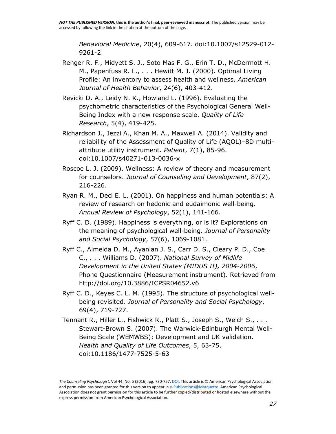*Behavioral Medicine*, 20(4), 609-617. doi:10.1007/s12529-012- 9261-2

- Renger R. F., Midyett S. J., Soto Mas F. G., Erin T. D., McDermott H. M., Papenfuss R. L., . . . Hewitt M. J. (2000). Optimal Living Profile: An inventory to assess health and wellness. *American Journal of Health Behavior*, 24(6), 403-412.
- Revicki D. A., Leidy N. K., Howland L. (1996). Evaluating the psychometric characteristics of the Psychological General Well-Being Index with a new response scale. *Quality of Life Research*, 5(4), 419-425.
- Richardson J., Iezzi A., Khan M. A., Maxwell A. (2014). Validity and reliability of the Assessment of Quality of Life (AQOL)–8D multiattribute utility instrument. *Patient*, 7(1), 85-96. doi:10.1007/s40271-013-0036-x
- Roscoe L. J. (2009). Wellness: A review of theory and measurement for counselors. *Journal of Counseling and Development*, 87(2), 216-226.
- Ryan R. M., Deci E. L. (2001). On happiness and human potentials: A review of research on hedonic and eudaimonic well-being. *Annual Review of Psychology*, 52(1), 141-166.
- Ryff C. D. (1989). Happiness is everything, or is it? Explorations on the meaning of psychological well-being. *Journal of Personality and Social Psychology*, 57(6), 1069-1081.
- Ryff C., Almeida D. M., Ayanian J. S., Carr D. S., Cleary P. D., Coe C., . . . Williams D. (2007). *National Survey of Midlife Development in the United States (MIDUS II), 2004-2006*, Phone Questionnaire (Measurement instrument). Retrieved from <http://doi.org/10.3886/ICPSR04652.v6>
- Ryff C. D., Keyes C. L. M. (1995). The structure of psychological wellbeing revisited. *Journal of Personality and Social Psychology*, 69(4), 719-727.
- Tennant R., Hiller L., Fishwick R., Platt S., Joseph S., Weich S., . . . Stewart-Brown S. (2007). The Warwick-Edinburgh Mental Well-Being Scale (WEMWBS): Development and UK validation. *Health and Quality of Life Outcomes*, 5, 63-75. doi:10.1186/1477-7525-5-63

*The Counseling Psychologist*, Vol 44, No. 5 (2016): pg. 730-757[. DOI.](https://dx.doi.org/10.1177/0011000016633507) This article is © American Psychological Association and permission has been granted for this version to appear i[n e-Publications@Marquette.](http://epublications.marquette.edu/) American Psychological Association does not grant permission for this article to be further copied/distributed or hosted elsewhere without the express permission from American Psychological Association.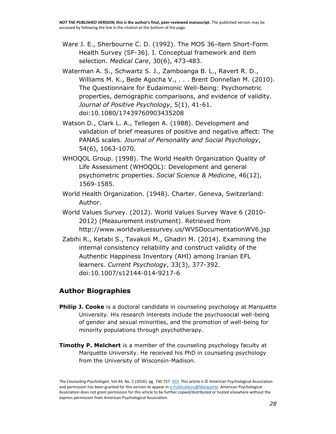- Ware J. E., Sherbourne C. D. (1992). The MOS 36-item Short-Form Health Survey (SF-36). I. Conceptual framework and item selection. *Medical Care*, 30(6), 473-483.
- Waterman A. S., Schwartz S. J., Zamboanga B. L., Ravert R. D., Williams M. K., Bede Agocha V., . . . Brent Donnellan M. (2010). The Questionnaire for Eudaimonic Well-Being: Psychometric properties, demographic comparisons, and evidence of validity. *Journal of Positive Psychology*, 5(1), 41-61. doi:10.1080/17439760903435208
- Watson D., Clark L. A., Tellegen A. (1988). Development and validation of brief measures of positive and negative affect: The PANAS scales. *Journal of Personality and Social Psychology*, 54(6), 1063-1070.
- WHOQOL Group. (1998). The World Health Organization Quality of Life Assessment (WHOQOL): Development and general psychometric properties. *Social Science & Medicine*, 46(12), 1569-1585.
- World Health Organization. (1948). Charter. Geneva, Switzerland: Author.
- World Values Survey. (2012). World Values Survey Wave 6 (2010- 2012) (Measurement instrument). Retrieved from <http://www.worldvaluessurvey.us/WVSDocumentationWV6.jsp>
- Zabihi R., Ketabi S., Tavakoli M., Ghadiri M. (2014). Examining the internal consistency reliability and construct validity of the Authentic Happiness Inventory (AHI) among Iranian EFL learners. *Current Psychology*, 33(3), 377-392. doi:10.1007/s12144-014-9217-6

## **Author Biographies**

- **Philip J. Cooke** is a doctoral candidate in counseling psychology at Marquette University. His research interests include the psychosocial well-being of gender and sexual minorities, and the promotion of well-being for minority populations through psychotherapy.
- **Timothy P. Melchert** is a member of the counseling psychology faculty at Marquette University. He received his PhD in counseling psychology from the University of Wisconsin-Madison.

*The Counseling Psychologist*, Vol 44, No. 5 (2016): pg. 730-757[. DOI.](https://dx.doi.org/10.1177/0011000016633507) This article is © American Psychological Association and permission has been granted for this version to appear i[n e-Publications@Marquette.](http://epublications.marquette.edu/) American Psychological Association does not grant permission for this article to be further copied/distributed or hosted elsewhere without the express permission from American Psychological Association.